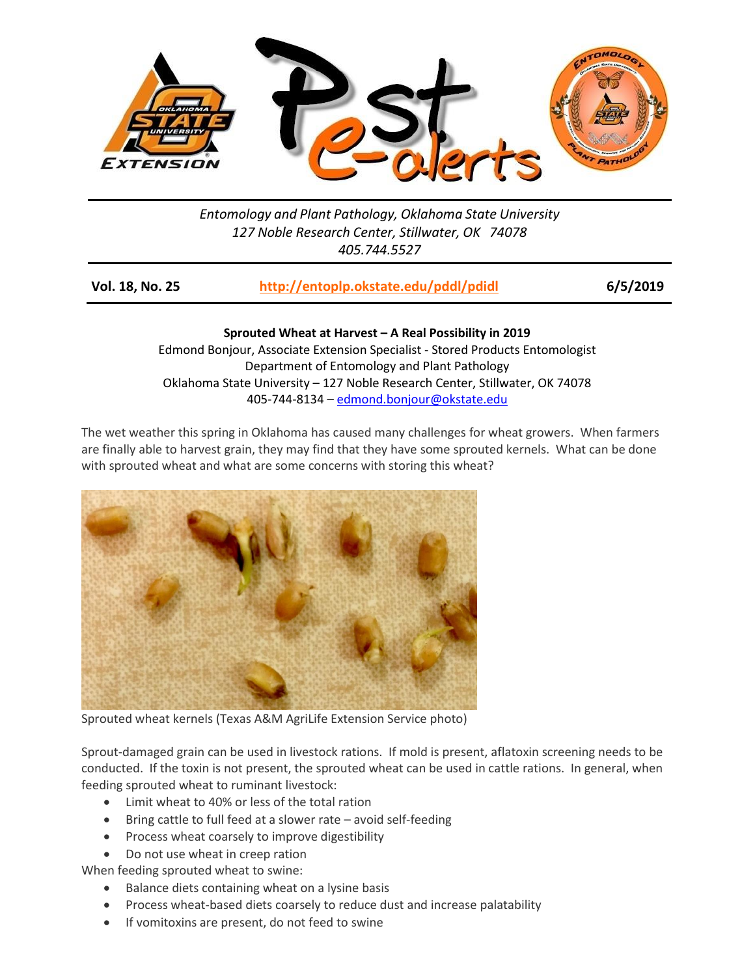

## *Entomology and Plant Pathology, Oklahoma State University 127 Noble Research Center, Stillwater, OK 74078 405.744.5527*

| Vol. 18, No. 25 | http://entoplp.okstate.edu/pddl/pdidl | 6/5/2019 |
|-----------------|---------------------------------------|----------|
|-----------------|---------------------------------------|----------|

**Sprouted Wheat at Harvest – A Real Possibility in 2019** Edmond Bonjour, Associate Extension Specialist - Stored Products Entomologist Department of Entomology and Plant Pathology Oklahoma State University – 127 Noble Research Center, Stillwater, OK 74078 405-744-8134 – [edmond.bonjour@okstate.edu](mailto:edmond.bonjour@okstate.edu)

The wet weather this spring in Oklahoma has caused many challenges for wheat growers. When farmers are finally able to harvest grain, they may find that they have some sprouted kernels. What can be done with sprouted wheat and what are some concerns with storing this wheat?



Sprouted wheat kernels (Texas A&M AgriLife Extension Service photo)

Sprout-damaged grain can be used in livestock rations. If mold is present, aflatoxin screening needs to be conducted. If the toxin is not present, the sprouted wheat can be used in cattle rations. In general, when feeding sprouted wheat to ruminant livestock:

- Limit wheat to 40% or less of the total ration
- Bring cattle to full feed at a slower rate avoid self-feeding
- Process wheat coarsely to improve digestibility
- Do not use wheat in creep ration

When feeding sprouted wheat to swine:

- Balance diets containing wheat on a lysine basis
- Process wheat-based diets coarsely to reduce dust and increase palatability
- If vomitoxins are present, do not feed to swine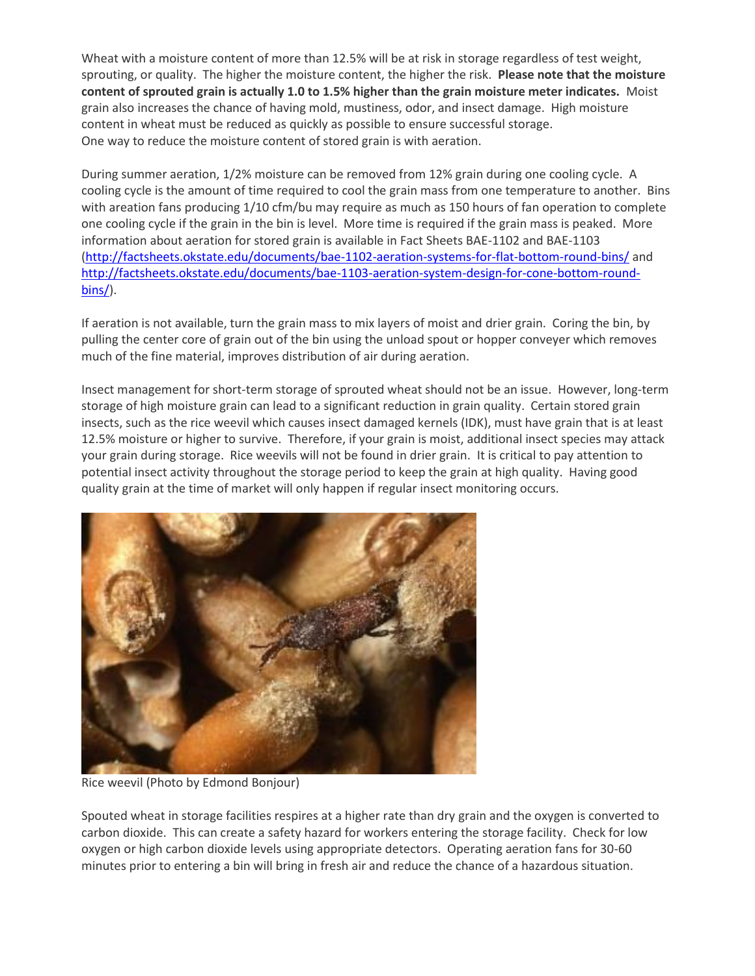Wheat with a moisture content of more than 12.5% will be at risk in storage regardless of test weight, sprouting, or quality. The higher the moisture content, the higher the risk. **Please note that the moisture content of sprouted grain is actually 1.0 to 1.5% higher than the grain moisture meter indicates.** Moist grain also increases the chance of having mold, mustiness, odor, and insect damage. High moisture content in wheat must be reduced as quickly as possible to ensure successful storage. One way to reduce the moisture content of stored grain is with aeration.

During summer aeration, 1/2% moisture can be removed from 12% grain during one cooling cycle. A cooling cycle is the amount of time required to cool the grain mass from one temperature to another. Bins with areation fans producing 1/10 cfm/bu may require as much as 150 hours of fan operation to complete one cooling cycle if the grain in the bin is level. More time is required if the grain mass is peaked. More information about aeration for stored grain is available in Fact Sheets BAE-1102 and BAE-1103 [\(http://factsheets.okstate.edu/documents/bae-1102-aeration-systems-for-flat-bottom-round-bins/](http://factsheets.okstate.edu/documents/bae-1102-aeration-systems-for-flat-bottom-round-bins/) and [http://factsheets.okstate.edu/documents/bae-1103-aeration-system-design-for-cone-bottom-round](http://factsheets.okstate.edu/documents/bae-1103-aeration-system-design-for-cone-bottom-round-bins/)[bins/\)](http://factsheets.okstate.edu/documents/bae-1103-aeration-system-design-for-cone-bottom-round-bins/).

If aeration is not available, turn the grain mass to mix layers of moist and drier grain. Coring the bin, by pulling the center core of grain out of the bin using the unload spout or hopper conveyer which removes much of the fine material, improves distribution of air during aeration.

Insect management for short-term storage of sprouted wheat should not be an issue. However, long-term storage of high moisture grain can lead to a significant reduction in grain quality. Certain stored grain insects, such as the rice weevil which causes insect damaged kernels (IDK), must have grain that is at least 12.5% moisture or higher to survive. Therefore, if your grain is moist, additional insect species may attack your grain during storage. Rice weevils will not be found in drier grain. It is critical to pay attention to potential insect activity throughout the storage period to keep the grain at high quality. Having good quality grain at the time of market will only happen if regular insect monitoring occurs.



Rice weevil (Photo by Edmond Bonjour)

Spouted wheat in storage facilities respires at a higher rate than dry grain and the oxygen is converted to carbon dioxide. This can create a safety hazard for workers entering the storage facility. Check for low oxygen or high carbon dioxide levels using appropriate detectors. Operating aeration fans for 30-60 minutes prior to entering a bin will bring in fresh air and reduce the chance of a hazardous situation.